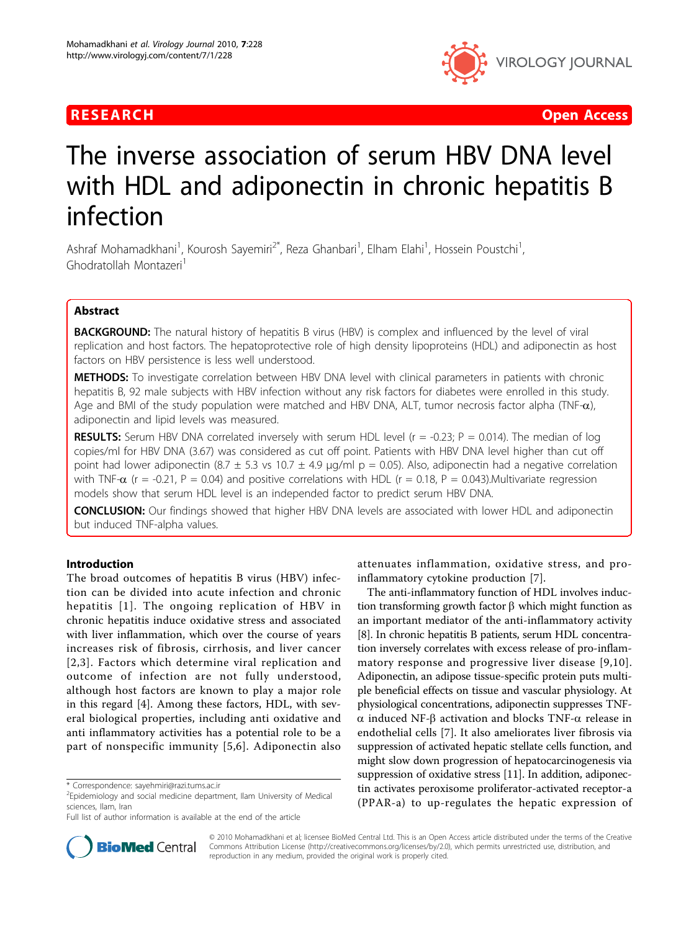

**RESEARCH Open Access Contract Contract Contract Contract Contract Contract Contract Contract Contract Contract Contract Contract Contract Contract Contract Contract Contract Contract Contract Contract Contract Contract** 

# The inverse association of serum HBV DNA level with HDL and adiponectin in chronic hepatitis B infection

Ashraf Mohamadkhani<sup>1</sup>, Kourosh Sayemiri<sup>2\*</sup>, Reza Ghanbari<sup>1</sup>, Elham Elahi<sup>1</sup>, Hossein Poustchi<sup>1</sup> , Ghodratollah Montazeri<sup>1</sup>

# Abstract

**BACKGROUND:** The natural history of hepatitis B virus (HBV) is complex and influenced by the level of viral replication and host factors. The hepatoprotective role of high density lipoproteins (HDL) and adiponectin as host factors on HBV persistence is less well understood.

**METHODS:** To investigate correlation between HBV DNA level with clinical parameters in patients with chronic hepatitis B, 92 male subjects with HBV infection without any risk factors for diabetes were enrolled in this study. Age and BMI of the study population were matched and HBV DNA, ALT, tumor necrosis factor alpha (TNF- $\alpha$ ), adiponectin and lipid levels was measured.

**RESULTS:** Serum HBV DNA correlated inversely with serum HDL level ( $r = -0.23$ ;  $P = 0.014$ ). The median of log copies/ml for HBV DNA (3.67) was considered as cut off point. Patients with HBV DNA level higher than cut off point had lower adiponectin (8.7  $\pm$  5.3 vs 10.7  $\pm$  4.9 µg/ml p = 0.05). Also, adiponectin had a negative correlation with TNF- $\alpha$  (r = -0.21, P = 0.04) and positive correlations with HDL (r = 0.18, P = 0.043). Multivariate regression models show that serum HDL level is an independed factor to predict serum HBV DNA.

CONCLUSION: Our findings showed that higher HBV DNA levels are associated with lower HDL and adiponectin but induced TNF-alpha values.

# Introduction

The broad outcomes of hepatitis B virus (HBV) infection can be divided into acute infection and chronic hepatitis [[1](#page-4-0)]. The ongoing replication of HBV in chronic hepatitis induce oxidative stress and associated with liver inflammation, which over the course of years increases risk of fibrosis, cirrhosis, and liver cancer [[2,3\]](#page-4-0). Factors which determine viral replication and outcome of infection are not fully understood, although host factors are known to play a major role in this regard [[4\]](#page-4-0). Among these factors, HDL, with several biological properties, including anti oxidative and anti inflammatory activities has a potential role to be a part of nonspecific immunity [\[5,6](#page-4-0)]. Adiponectin also



The anti-inflammatory function of HDL involves induction transforming growth factor  $\beta$  which might function as an important mediator of the anti-inflammatory activity [[8\]](#page-4-0). In chronic hepatitis B patients, serum HDL concentration inversely correlates with excess release of pro-inflammatory response and progressive liver disease [[9,10\]](#page-4-0). Adiponectin, an adipose tissue-specific protein puts multiple beneficial effects on tissue and vascular physiology. At physiological concentrations, adiponectin suppresses TNF- $\alpha$  induced NF- $\beta$  activation and blocks TNF- $\alpha$  release in endothelial cells [[7\]](#page-4-0). It also ameliorates liver fibrosis via suppression of activated hepatic stellate cells function, and might slow down progression of hepatocarcinogenesis via suppression of oxidative stress [\[11\]](#page-4-0). In addition, adiponectin activates peroxisome proliferator-activated receptor-a (PPAR-a) to up-regulates the hepatic expression of



© 2010 Mohamadkhani et al; licensee BioMed Central Ltd. This is an Open Access article distributed under the terms of the Creative Commons Attribution License [\(http://creativecommons.org/licenses/by/2.0](http://creativecommons.org/licenses/by/2.0)), which permits unrestricted use, distribution, and reproduction in any medium, provided the original work is properly cited.

<sup>\*</sup> Correspondence: [sayehmiri@razi.tums.ac.ir](mailto:sayehmiri@razi.tums.ac.ir)

<sup>&</sup>lt;sup>2</sup> Epidemiology and social medicine department, Ilam University of Medical sciences, Ilam, Iran

Full list of author information is available at the end of the article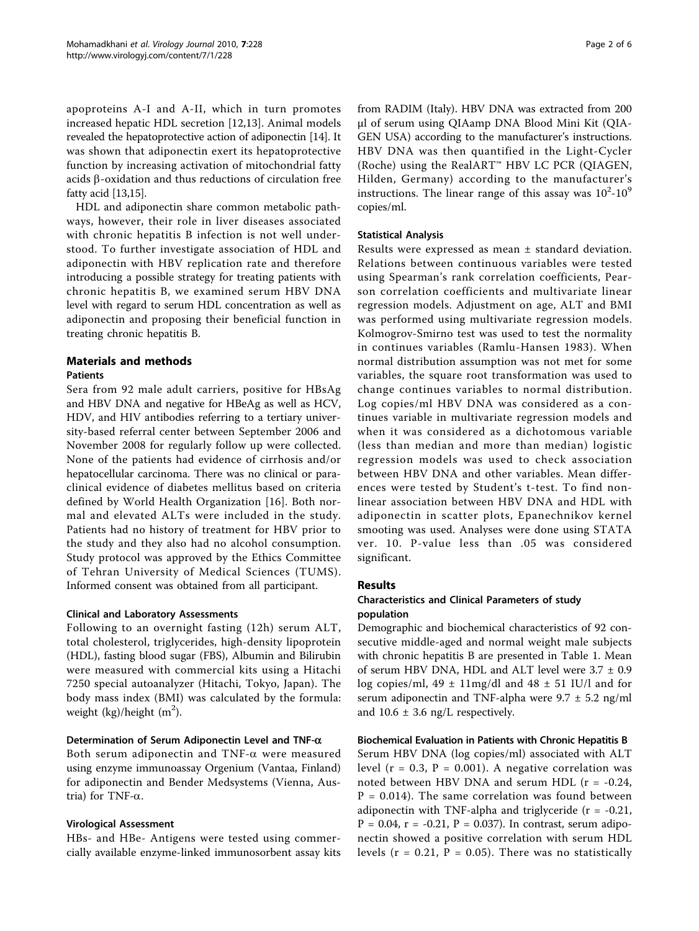apoproteins A-I and A-II, which in turn promotes increased hepatic HDL secretion [[12](#page-4-0),[13\]](#page-4-0). Animal models revealed the hepatoprotective action of adiponectin [[14](#page-4-0)]. It was shown that adiponectin exert its hepatoprotective function by increasing activation of mitochondrial fatty acids  $\beta$ -oxidation and thus reductions of circulation free fatty acid [[13,15\]](#page-4-0).

HDL and adiponectin share common metabolic pathways, however, their role in liver diseases associated with chronic hepatitis B infection is not well understood. To further investigate association of HDL and adiponectin with HBV replication rate and therefore introducing a possible strategy for treating patients with chronic hepatitis B, we examined serum HBV DNA level with regard to serum HDL concentration as well as adiponectin and proposing their beneficial function in treating chronic hepatitis B.

# Materials and methods

# Patients

Sera from 92 male adult carriers, positive for HBsAg and HBV DNA and negative for HBeAg as well as HCV, HDV, and HIV antibodies referring to a tertiary university-based referral center between September 2006 and November 2008 for regularly follow up were collected. None of the patients had evidence of cirrhosis and/or hepatocellular carcinoma. There was no clinical or paraclinical evidence of diabetes mellitus based on criteria defined by World Health Organization [\[16\]](#page-4-0). Both normal and elevated ALTs were included in the study. Patients had no history of treatment for HBV prior to the study and they also had no alcohol consumption. Study protocol was approved by the Ethics Committee of Tehran University of Medical Sciences (TUMS). Informed consent was obtained from all participant.

# Clinical and Laboratory Assessments

Following to an overnight fasting (12h) serum ALT, total cholesterol, triglycerides, high-density lipoprotein (HDL), fasting blood sugar (FBS), Albumin and Bilirubin were measured with commercial kits using a Hitachi 7250 special autoanalyzer (Hitachi, Tokyo, Japan). The body mass index (BMI) was calculated by the formula: weight (kg)/height  $(m^2)$ .

# Determination of Serum Adiponectin Level and TNF- $\alpha$

Both serum adiponectin and TNF- $\alpha$  were measured using enzyme immunoassay Orgenium (Vantaa, Finland) for adiponectin and Bender Medsystems (Vienna, Austria) for TNF- $\alpha$ .

# Virological Assessment

HBs- and HBe- Antigens were tested using commercially available enzyme-linked immunosorbent assay kits from RADIM (Italy). HBV DNA was extracted from 200 μl of serum using QIAamp DNA Blood Mini Kit (QIA-GEN USA) according to the manufacturer's instructions. HBV DNA was then quantified in the Light-Cycler (Roche) using the RealART™ HBV LC PCR (QIAGEN, Hilden, Germany) according to the manufacturer's instructions. The linear range of this assay was  $10^2$ - $10^9$ copies/ml.

# Statistical Analysis

Results were expressed as mean ± standard deviation. Relations between continuous variables were tested using Spearman's rank correlation coefficients, Pearson correlation coefficients and multivariate linear regression models. Adjustment on age, ALT and BMI was performed using multivariate regression models. Kolmogrov-Smirno test was used to test the normality in continues variables (Ramlu-Hansen 1983). When normal distribution assumption was not met for some variables, the square root transformation was used to change continues variables to normal distribution. Log copies/ml HBV DNA was considered as a continues variable in multivariate regression models and when it was considered as a dichotomous variable (less than median and more than median) logistic regression models was used to check association between HBV DNA and other variables. Mean differences were tested by Student's t-test. To find nonlinear association between HBV DNA and HDL with adiponectin in scatter plots, Epanechnikov kernel smooting was used. Analyses were done using STATA ver. 10. P-value less than .05 was considered significant.

# Results

# Characteristics and Clinical Parameters of study population

Demographic and biochemical characteristics of 92 consecutive middle-aged and normal weight male subjects with chronic hepatitis B are presented in Table [1.](#page-2-0) Mean of serum HBV DNA, HDL and ALT level were  $3.7 \pm 0.9$ log copies/ml,  $49 \pm 11$ mg/dl and  $48 \pm 51$  IU/l and for serum adiponectin and TNF-alpha were  $9.7 \pm 5.2$  ng/ml and  $10.6 \pm 3.6$  ng/L respectively.

# Biochemical Evaluation in Patients with Chronic Hepatitis B

Serum HBV DNA (log copies/ml) associated with ALT level ( $r = 0.3$ ,  $P = 0.001$ ). A negative correlation was noted between HBV DNA and serum HDL (r = -0.24,  $P = 0.014$ ). The same correlation was found between adiponectin with TNF-alpha and triglyceride (r = -0.21,  $P = 0.04$ ,  $r = -0.21$ ,  $P = 0.037$ ). In contrast, serum adiponectin showed a positive correlation with serum HDL levels ( $r = 0.21$ ,  $P = 0.05$ ). There was no statistically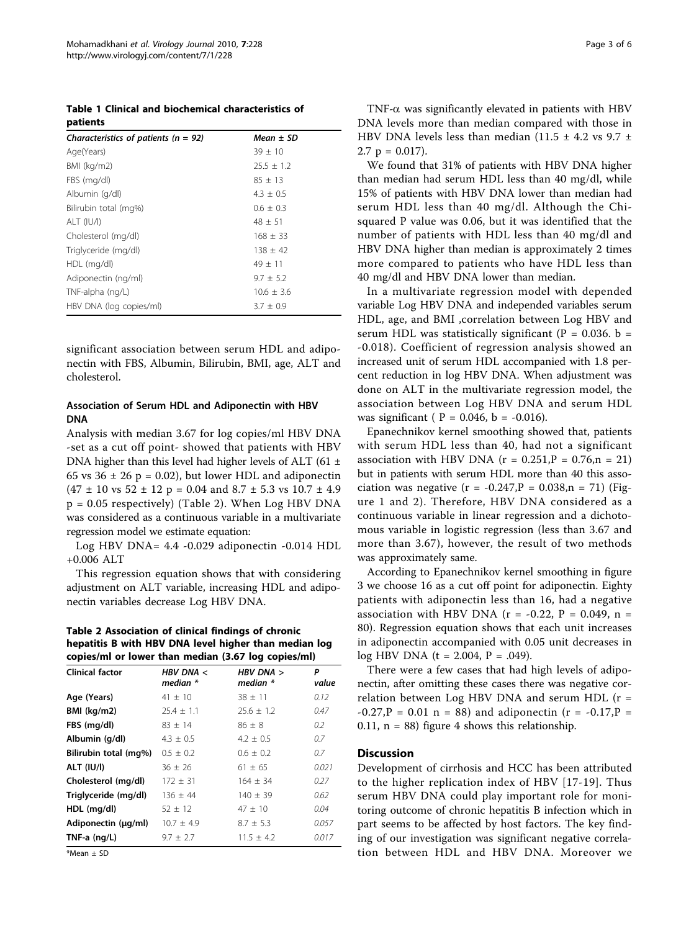<span id="page-2-0"></span>Table 1 Clinical and biochemical characteristics of patients

| Characteristics of patients ( $n = 92$ ) | Mean $\pm$ SD  |
|------------------------------------------|----------------|
| Age(Years)                               | $39 \pm 10$    |
| BMI (kg/m2)                              | $25.5 \pm 1.2$ |
| FBS (mg/dl)                              | $85 \pm 13$    |
| Albumin (g/dl)                           | $4.3 \pm 0.5$  |
| Bilirubin total (mg%)                    | $0.6 \pm 0.3$  |
| $ALT$ (IU/I)                             | $48 \pm 51$    |
| Cholesterol (mg/dl)                      | $168 \pm 33$   |
| Triglyceride (mg/dl)                     | $138 \pm 42$   |
| HDL (mg/dl)                              | $49 + 11$      |
| Adiponectin (ng/ml)                      | $9.7 \pm 5.2$  |
| TNF-alpha (ng/L)                         | $10.6 \pm 3.6$ |
| HBV DNA (log copies/ml)                  | $3.7 \pm 0.9$  |

significant association between serum HDL and adiponectin with FBS, Albumin, Bilirubin, BMI, age, ALT and cholesterol.

# Association of Serum HDL and Adiponectin with HBV DNA

Analysis with median 3.67 for log copies/ml HBV DNA -set as a cut off point- showed that patients with HBV DNA higher than this level had higher levels of ALT (61  $\pm$ 65 vs  $36 \pm 26$  p = 0.02), but lower HDL and adiponectin  $(47 \pm 10 \text{ vs } 52 \pm 12 \text{ p} = 0.04 \text{ and } 8.7 \pm 5.3 \text{ vs } 10.7 \pm 4.9$ p = 0.05 respectively) (Table 2). When Log HBV DNA was considered as a continuous variable in a multivariate regression model we estimate equation:

Log HBV DNA= 4.4 -0.029 adiponectin -0.014 HDL +0.006 ALT

This regression equation shows that with considering adjustment on ALT variable, increasing HDL and adiponectin variables decrease Log HBV DNA.

#### Table 2 Association of clinical findings of chronic hepatitis B with HBV DNA level higher than median log copies/ml or lower than median (3.67 log copies/ml)

| <b>Clinical factor</b> | HBV DNA $<$<br>median * | $HBV$ DNA $>$<br>median * | Ρ<br>value |
|------------------------|-------------------------|---------------------------|------------|
| Age (Years)            | $41 \pm 10$             | $38 \pm 11$               | 0.12       |
| BMI (kg/m2)            | $25.4 \pm 1.1$          | $25.6 + 1.2$              | 0.47       |
| FBS (mg/dl)            | $83 \pm 14$             | $86 \pm 8$                | 0.2        |
| Albumin (g/dl)         | $4.3 + 0.5$             | $4.2 + 0.5$               | 0.7        |
| Bilirubin total (mg%)  | $0.5 + 0.2$             | $0.6 + 0.2$               | 0.7        |
| ALT (IU/I)             | $36 \pm 26$             | $61 + 65$                 | 0.021      |
| Cholesterol (mg/dl)    | $172 \pm 31$            | $164 \pm 34$              | 0.27       |
| Triglyceride (mg/dl)   | $136 \pm 44$            | $140 \pm 39$              | 0.62       |
| HDL (mg/dl)            | $52 \pm 12$             | $47 \pm 10$               | 0.04       |
| Adiponectin (µq/ml)    | $10.7 \pm 4.9$          | $8.7 \pm 5.3$             | 0.057      |
| TNF-a $(nq/L)$         | $9.7 + 2.7$             | $11.5 + 4.2$              | 0.017      |

\*Mean ± SD

TNF- $\alpha$  was significantly elevated in patients with HBV DNA levels more than median compared with those in HBV DNA levels less than median (11.5  $\pm$  4.2 vs 9.7  $\pm$ 2.7  $p = 0.017$ ).

We found that 31% of patients with HBV DNA higher than median had serum HDL less than 40 mg/dl, while 15% of patients with HBV DNA lower than median had serum HDL less than 40 mg/dl. Although the Chisquared P value was 0.06, but it was identified that the number of patients with HDL less than 40 mg/dl and HBV DNA higher than median is approximately 2 times more compared to patients who have HDL less than 40 mg/dl and HBV DNA lower than median.

In a multivariate regression model with depended variable Log HBV DNA and independed variables serum HDL, age, and BMI ,correlation between Log HBV and serum HDL was statistically significant ( $P = 0.036$ . b = -0.018). Coefficient of regression analysis showed an increased unit of serum HDL accompanied with 1.8 percent reduction in log HBV DNA. When adjustment was done on ALT in the multivariate regression model, the association between Log HBV DNA and serum HDL was significant ( $P = 0.046$ ,  $b = -0.016$ ).

Epanechnikov kernel smoothing showed that, patients with serum HDL less than 40, had not a significant association with HBV DNA ( $r = 0.251$ , $P = 0.76$ , $n = 21$ ) but in patients with serum HDL more than 40 this association was negative (r = -0.247,P = 0.038,n = 71) (Figure [1](#page-3-0) and [2](#page-3-0)). Therefore, HBV DNA considered as a continuous variable in linear regression and a dichotomous variable in logistic regression (less than 3.67 and more than 3.67), however, the result of two methods was approximately same.

According to Epanechnikov kernel smoothing in figure [3](#page-3-0) we choose 16 as a cut off point for adiponectin. Eighty patients with adiponectin less than 16, had a negative association with HBV DNA ( $r = -0.22$ ,  $P = 0.049$ ,  $n =$ 80). Regression equation shows that each unit increases in adiponectin accompanied with 0.05 unit decreases in log HBV DNA (t = 2.004,  $P = .049$ ).

There were a few cases that had high levels of adiponectin, after omitting these cases there was negative correlation between Log HBV DNA and serum HDL (r =  $-0.27$ ,  $P = 0.01$  n = 88) and adiponectin (r =  $-0.17$ ,  $P =$ 0.11,  $n = 88$ ) figure [4](#page-3-0) shows this relationship.

#### **Discussion**

Development of cirrhosis and HCC has been attributed to the higher replication index of HBV [[17](#page-4-0)-[19](#page-4-0)]. Thus serum HBV DNA could play important role for monitoring outcome of chronic hepatitis B infection which in part seems to be affected by host factors. The key finding of our investigation was significant negative correlation between HDL and HBV DNA. Moreover we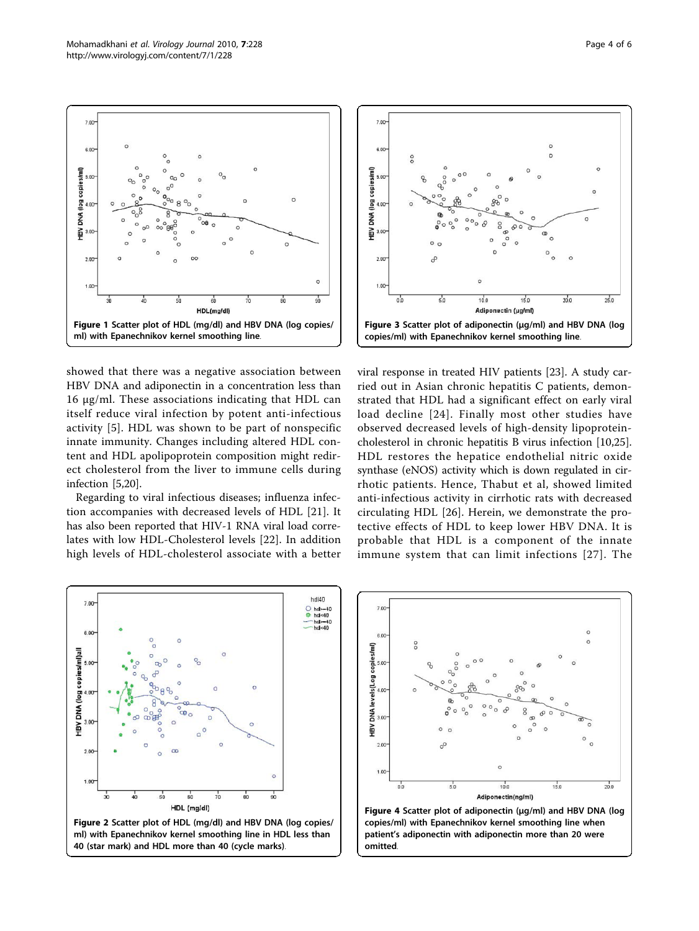showed that there was a negative association between HBV DNA and adiponectin in a concentration less than 16 μg/ml. These associations indicating that HDL can itself reduce viral infection by potent anti-infectious activity [[5\]](#page-4-0). HDL was shown to be part of nonspecific innate immunity. Changes including altered HDL content and HDL apolipoprotein composition might redirect cholesterol from the liver to immune cells during infection [[5,20\]](#page-4-0).

Regarding to viral infectious diseases; influenza infection accompanies with decreased levels of HDL [[21](#page-5-0)]. It has also been reported that HIV-1 RNA viral load correlates with low HDL-Cholesterol levels [[22\]](#page-5-0). In addition high levels of HDL-cholesterol associate with a better viral response in treated HIV patients [\[23](#page-5-0)]. A study carried out in Asian chronic hepatitis C patients, demonstrated that HDL had a significant effect on early viral load decline [[24](#page-5-0)]. Finally most other studies have observed decreased levels of high-density lipoproteincholesterol in chronic hepatitis B virus infection [\[10](#page-4-0)[,25](#page-5-0)]. HDL restores the hepatice endothelial nitric oxide synthase (eNOS) activity which is down regulated in cirrhotic patients. Hence, Thabut et al, showed limited anti-infectious activity in cirrhotic rats with decreased circulating HDL [[26](#page-5-0)]. Herein, we demonstrate the protective effects of HDL to keep lower HBV DNA. It is probable that HDL is a component of the innate immune system that can limit infections [[27\]](#page-5-0). The





<span id="page-3-0"></span>

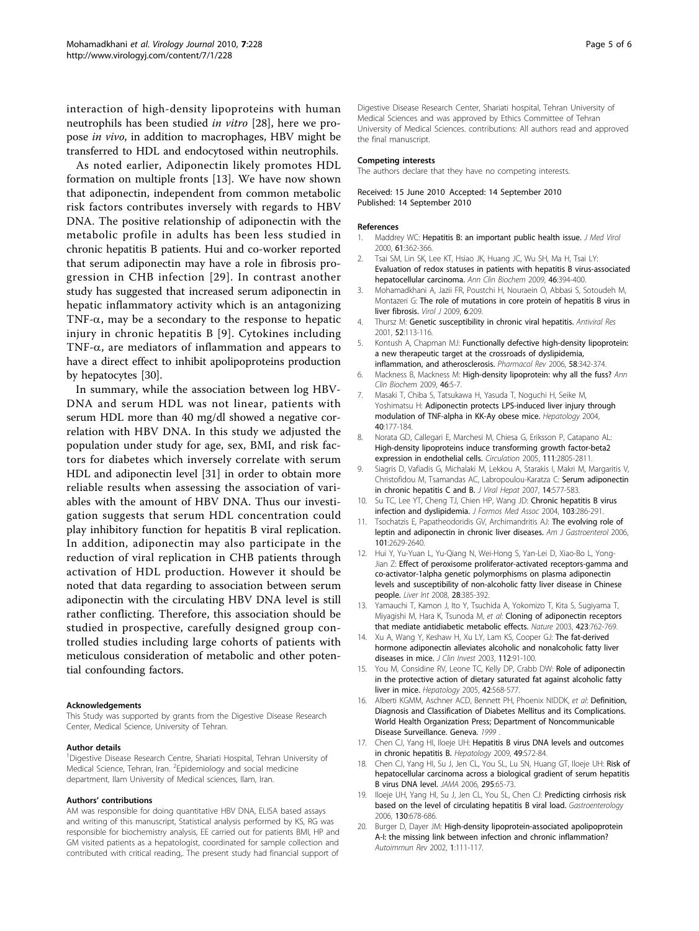<span id="page-4-0"></span>interaction of high-density lipoproteins with human neutrophils has been studied in vitro [[28\]](#page-5-0), here we propose in vivo, in addition to macrophages, HBV might be transferred to HDL and endocytosed within neutrophils.

As noted earlier, Adiponectin likely promotes HDL formation on multiple fronts [13]. We have now shown that adiponectin, independent from common metabolic risk factors contributes inversely with regards to HBV DNA. The positive relationship of adiponectin with the metabolic profile in adults has been less studied in chronic hepatitis B patients. Hui and co-worker reported that serum adiponectin may have a role in fibrosis progression in CHB infection [[29\]](#page-5-0). In contrast another study has suggested that increased serum adiponectin in hepatic inflammatory activity which is an antagonizing TNF- $\alpha$ , may be a secondary to the response to hepatic injury in chronic hepatitis B [9]. Cytokines including TNF- $\alpha$ , are mediators of inflammation and appears to have a direct effect to inhibit apolipoproteins production by hepatocytes [\[30](#page-5-0)].

In summary, while the association between log HBV-DNA and serum HDL was not linear, patients with serum HDL more than 40 mg/dl showed a negative correlation with HBV DNA. In this study we adjusted the population under study for age, sex, BMI, and risk factors for diabetes which inversely correlate with serum HDL and adiponectin level [\[31\]](#page-5-0) in order to obtain more reliable results when assessing the association of variables with the amount of HBV DNA. Thus our investigation suggests that serum HDL concentration could play inhibitory function for hepatitis B viral replication. In addition, adiponectin may also participate in the reduction of viral replication in CHB patients through activation of HDL production. However it should be noted that data regarding to association between serum adiponectin with the circulating HBV DNA level is still rather conflicting. Therefore, this association should be studied in prospective, carefully designed group controlled studies including large cohorts of patients with meticulous consideration of metabolic and other potential confounding factors.

#### Acknowledgements

This Study was supported by grants from the Digestive Disease Research Center, Medical Science, University of Tehran.

#### Author details

<sup>1</sup>Digestive Disease Research Centre, Shariati Hospital, Tehran University of Medical Science, Tehran, Iran. <sup>2</sup>Epidemiology and social medicine department, Ilam University of Medical sciences, Ilam, Iran.

#### Authors' contributions

AM was responsible for doing quantitative HBV DNA, ELISA based assays and writing of this manuscript, Statistical analysis performed by KS, RG was responsible for biochemistry analysis, EE carried out for patients BMI, HP and GM visited patients as a hepatologist, coordinated for sample collection and contributed with critical reading,. The present study had financial support of

Digestive Disease Research Center, Shariati hospital, Tehran University of Medical Sciences and was approved by Ethics Committee of Tehran University of Medical Sciences. contributions: All authors read and approved the final manuscript.

#### Competing interests

The authors declare that they have no competing interests.

#### Received: 15 June 2010 Accepted: 14 September 2010 Published: 14 September 2010

#### References

- 1. Maddrey WC: [Hepatitis B: an important public health issue.](http://www.ncbi.nlm.nih.gov/pubmed/10861647?dopt=Abstract) J Med Virol 2000, 61:362-366.
- 2. Tsai SM, Lin SK, Lee KT, Hsiao JK, Huang JC, Wu SH, Ma H, Tsai LY: [Evaluation of redox statuses in patients with hepatitis B virus-associated](http://www.ncbi.nlm.nih.gov/pubmed/19641006?dopt=Abstract) [hepatocellular carcinoma.](http://www.ncbi.nlm.nih.gov/pubmed/19641006?dopt=Abstract) Ann Clin Biochem 2009, 46:394-400.
- 3. Mohamadkhani A, Jazii FR, Poustchi H, Nouraein O, Abbasi S, Sotoudeh M, Montazeri G: [The role of mutations in core protein of hepatitis B virus in](http://www.ncbi.nlm.nih.gov/pubmed/19939285?dopt=Abstract) [liver fibrosis.](http://www.ncbi.nlm.nih.gov/pubmed/19939285?dopt=Abstract) Virol 1 2009, 6:209.
- 4. Thursz M: [Genetic susceptibility in chronic viral hepatitis.](http://www.ncbi.nlm.nih.gov/pubmed/11672820?dopt=Abstract) Antiviral Res 2001, 52:113-116.
- 5. Kontush A, Chapman MJ: [Functionally defective high-density lipoprotein:](http://www.ncbi.nlm.nih.gov/pubmed/16968945?dopt=Abstract) a new therapeutic target at the crossroads of dyslipidemia [inflammation, and atherosclerosis.](http://www.ncbi.nlm.nih.gov/pubmed/16968945?dopt=Abstract) Pharmacol Rev 2006, 58:342-374.
- 6. Mackness B, Mackness M: [High-density lipoprotein: why all the fuss?](http://www.ncbi.nlm.nih.gov/pubmed/19015220?dopt=Abstract) Ann Clin Biochem 2009, 46:5-7.
- 7. Masaki T, Chiba S, Tatsukawa H, Yasuda T, Noguchi H, Seike M, Yoshimatsu H: [Adiponectin protects LPS-induced liver injury through](http://www.ncbi.nlm.nih.gov/pubmed/15239101?dopt=Abstract) [modulation of TNF-alpha in KK-Ay obese mice.](http://www.ncbi.nlm.nih.gov/pubmed/15239101?dopt=Abstract) Hepatology 2004, 40:177-184.
- 8. Norata GD, Callegari E, Marchesi M, Chiesa G, Eriksson P, Catapano AL: [High-density lipoproteins induce transforming growth factor-beta2](http://www.ncbi.nlm.nih.gov/pubmed/15911702?dopt=Abstract) [expression in endothelial cells.](http://www.ncbi.nlm.nih.gov/pubmed/15911702?dopt=Abstract) Circulation 2005, 111:2805-2811.
- 9. Siagris D, Vafiadis G, Michalaki M, Lekkou A, Starakis I, Makri M, Margaritis V, Christofidou M, Tsamandas AC, Labropoulou-Karatza C: [Serum adiponectin](http://www.ncbi.nlm.nih.gov/pubmed/17650292?dopt=Abstract) [in chronic hepatitis C and B.](http://www.ncbi.nlm.nih.gov/pubmed/17650292?dopt=Abstract) J Viral Hepat 2007, 14:577-583.
- 10. Su TC, Lee YT, Cheng TJ, Chien HP, Wang JD: [Chronic hepatitis B virus](http://www.ncbi.nlm.nih.gov/pubmed/15175824?dopt=Abstract) [infection and dyslipidemia.](http://www.ncbi.nlm.nih.gov/pubmed/15175824?dopt=Abstract) J Formos Med Assoc 2004, 103:286-291.
- 11. Tsochatzis E, Papatheodoridis GV, Archimandritis AJ: [The evolving role of](http://www.ncbi.nlm.nih.gov/pubmed/16952281?dopt=Abstract) [leptin and adiponectin in chronic liver diseases.](http://www.ncbi.nlm.nih.gov/pubmed/16952281?dopt=Abstract) Am J Gastroenterol 2006, 101:2629-2640.
- 12. Hui Y, Yu-Yuan L, Yu-Qiang N, Wei-Hong S, Yan-Lei D, Xiao-Bo L, Yong-Jian Z: [Effect of peroxisome proliferator-activated receptors-gamma and](http://www.ncbi.nlm.nih.gov/pubmed/17999673?dopt=Abstract) [co-activator-1alpha genetic polymorphisms on plasma adiponectin](http://www.ncbi.nlm.nih.gov/pubmed/17999673?dopt=Abstract) [levels and susceptibility of non-alcoholic fatty liver disease in Chinese](http://www.ncbi.nlm.nih.gov/pubmed/17999673?dopt=Abstract) [people.](http://www.ncbi.nlm.nih.gov/pubmed/17999673?dopt=Abstract) Liver Int 2008, 28:385-392.
- 13. Yamauchi T, Kamon J, Ito Y, Tsuchida A, Yokomizo T, Kita S, Sugiyama T, Miyagishi M, Hara K, Tsunoda M, et al: [Cloning of adiponectin receptors](http://www.ncbi.nlm.nih.gov/pubmed/12802337?dopt=Abstract) [that mediate antidiabetic metabolic effects.](http://www.ncbi.nlm.nih.gov/pubmed/12802337?dopt=Abstract) Nature 2003, 423:762-769.
- 14. Xu A, Wang Y, Keshaw H, Xu LY, Lam KS, Cooper GJ: [The fat-derived](http://www.ncbi.nlm.nih.gov/pubmed/12840063?dopt=Abstract) [hormone adiponectin alleviates alcoholic and nonalcoholic fatty liver](http://www.ncbi.nlm.nih.gov/pubmed/12840063?dopt=Abstract) [diseases in mice.](http://www.ncbi.nlm.nih.gov/pubmed/12840063?dopt=Abstract) J Clin Invest 2003, 112:91-100.
- 15. You M, Considine RV, Leone TC, Kelly DP, Crabb DW: [Role of adiponectin](http://www.ncbi.nlm.nih.gov/pubmed/16108051?dopt=Abstract) [in the protective action of dietary saturated fat against alcoholic fatty](http://www.ncbi.nlm.nih.gov/pubmed/16108051?dopt=Abstract) [liver in mice.](http://www.ncbi.nlm.nih.gov/pubmed/16108051?dopt=Abstract) Hepatology 2005, 42:568-577.
- 16. Alberti KGMM, Aschner ACD, Bennett PH, Phoenix NIDDK, et al: Definition, Diagnosis and Classification of Diabetes Mellitus and its Complications. World Health Organization Press; Department of Noncommunicable Disease Surveillance. Geneva. 1999
- 17. Chen CJ, Yang HI, Iloeje UH: [Hepatitis B virus DNA levels and outcomes](http://www.ncbi.nlm.nih.gov/pubmed/19399801?dopt=Abstract) [in chronic hepatitis B.](http://www.ncbi.nlm.nih.gov/pubmed/19399801?dopt=Abstract) Hepatology 2009, 49:S72-84.
- 18. Chen CJ, Yang HI, Su J, Jen CL, You SL, Lu SN, Huang GT, Iloeje UH: [Risk of](http://www.ncbi.nlm.nih.gov/pubmed/16391218?dopt=Abstract) [hepatocellular carcinoma across a biological gradient of serum hepatitis](http://www.ncbi.nlm.nih.gov/pubmed/16391218?dopt=Abstract) [B virus DNA level.](http://www.ncbi.nlm.nih.gov/pubmed/16391218?dopt=Abstract) JAMA 2006, 295:65-73.
- 19. Iloeje UH, Yang HI, Su J, Jen CL, You SL, Chen CJ: [Predicting cirrhosis risk](http://www.ncbi.nlm.nih.gov/pubmed/16530509?dopt=Abstract) [based on the level of circulating hepatitis B viral load.](http://www.ncbi.nlm.nih.gov/pubmed/16530509?dopt=Abstract) Gastroenterology 2006, 130:678-686.
- 20. Burger D, Dayer JM: [High-density lipoprotein-associated apolipoprotein](http://www.ncbi.nlm.nih.gov/pubmed/12849067?dopt=Abstract) [A-I: the missing link between infection and chronic inflammation?](http://www.ncbi.nlm.nih.gov/pubmed/12849067?dopt=Abstract) Autoimmun Rev 2002, 1:111-117.